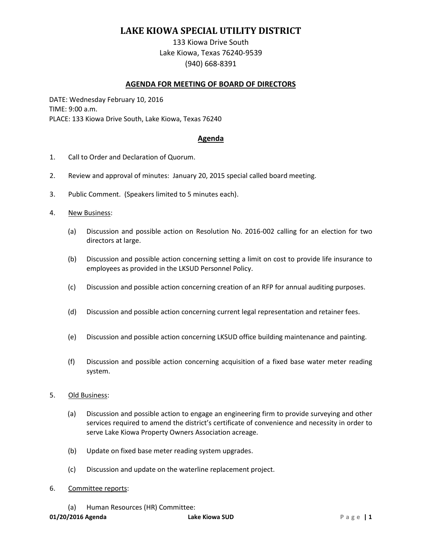## **LAKE KIOWA SPECIAL UTILITY DISTRICT**

133 Kiowa Drive South Lake Kiowa, Texas 76240-9539 (940) 668-8391

## **AGENDA FOR MEETING OF BOARD OF DIRECTORS**

DATE: Wednesday February 10, 2016 TIME: 9:00 a.m. PLACE: 133 Kiowa Drive South, Lake Kiowa, Texas 76240

## **Agenda**

- 1. Call to Order and Declaration of Quorum.
- 2. Review and approval of minutes: January 20, 2015 special called board meeting.
- 3. Public Comment. (Speakers limited to 5 minutes each).
- 4. New Business:
	- (a) Discussion and possible action on Resolution No. 2016-002 calling for an election for two directors at large.
	- (b) Discussion and possible action concerning setting a limit on cost to provide life insurance to employees as provided in the LKSUD Personnel Policy.
	- (c) Discussion and possible action concerning creation of an RFP for annual auditing purposes.
	- (d) Discussion and possible action concerning current legal representation and retainer fees.
	- (e) Discussion and possible action concerning LKSUD office building maintenance and painting.
	- (f) Discussion and possible action concerning acquisition of a fixed base water meter reading system.
- 5. Old Business:
	- (a) Discussion and possible action to engage an engineering firm to provide surveying and other services required to amend the district's certificate of convenience and necessity in order to serve Lake Kiowa Property Owners Association acreage.
	- (b) Update on fixed base meter reading system upgrades.
	- (c) Discussion and update on the waterline replacement project.
- 6. Committee reports:
	- (a) Human Resources (HR) Committee: